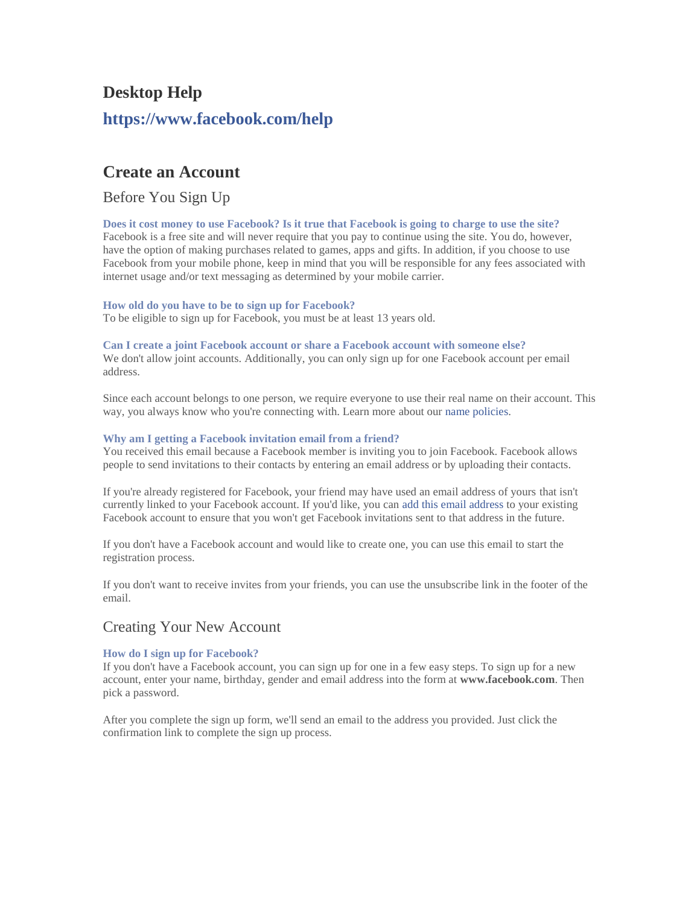# **Desktop Help <https://www.facebook.com/help>**

### **Create an Account**

Before You Sign Up

**[Does it cost money to use Facebook? Is it true that Facebook is going to charge to use the site?](https://www.facebook.com/help/186556401394793)** Facebook is a free site and will never require that you pay to continue using the site. You do, however, have the option of making purchases related to games, apps and gifts. In addition, if you choose to use Facebook from your mobile phone, keep in mind that you will be responsible for any fees associated with internet usage and/or text messaging as determined by your mobile carrier.

#### **[How old do you have to be to sign up](https://www.facebook.com/help/210644045634222) for Facebook?**

To be eligible to sign up for Facebook, you must be at least 13 years old.

#### **[Can I create a joint Facebook account or share a Facebook account with someone else?](https://www.facebook.com/help/149037205222530)**

We don't allow joint accounts. Additionally, you can only sign up for one Facebook account per email address.

Since each account belongs to one person, we require everyone to use their real name on their account. This way, you always know who you're connecting with. Learn more about our [name policies.](https://www.facebook.com/help/www/112146705538576)

#### **[Why am I getting a Facebook invitation email from a friend?](https://www.facebook.com/help/124845474262694)**

You received this email because a Facebook member is inviting you to join Facebook. Facebook allows people to send invitations to their contacts by entering an email address or by uploading their contacts.

If you're already registered for Facebook, your friend may have used an email address of yours that isn't currently linked to your Facebook account. If you'd like, you can [add this email address](https://www.facebook.com/help/www/162801153783275) to your existing Facebook account to ensure that you won't get Facebook invitations sent to that address in the future.

If you don't have a Facebook account and would like to create one, you can use this email to start the registration process.

If you don't want to receive invites from your friends, you can use the unsubscribe link in the footer of the email.

### Creating Your New Account

#### **[How do I sign up for Facebook?](https://www.facebook.com/help/188157731232424)**

If you don't have a Facebook account, you can sign up for one in a few easy steps. To sign up for a new account, enter your name, birthday, gender and email address into the form at **www.facebook.com**. Then pick a password.

After you complete the sign up form, we'll send an email to the address you provided. Just click the confirmation link to complete the sign up process.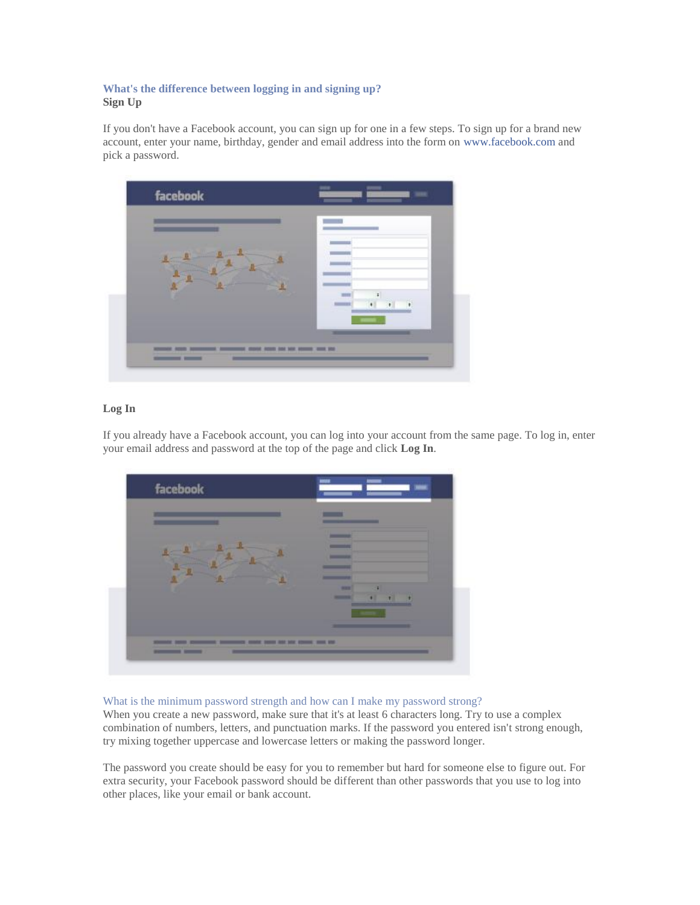#### **[What's the difference between logging in and signing up?](https://www.facebook.com/help/166236946797877) Sign Up**

If you don't have a Facebook account, you can sign up for one in a few steps. To sign up for a brand new account, enter your name, birthday, gender and email address into the form on [www.facebook.com](https://www.facebook.com/) and pick a password.



#### **Log In**

If you already have a Facebook account, you can log into your account from the same page. To log in, enter your email address and password at the top of the page and click **Log In**.



#### [What is the minimum password strength and how can I make my password strong?](https://www.facebook.com/help/124904560921566)

When you create a new password, make sure that it's at least 6 characters long. Try to use a complex combination of numbers, letters, and punctuation marks. If the password you entered isn't strong enough, try mixing together uppercase and lowercase letters or making the password longer.

The password you create should be easy for you to remember but hard for someone else to figure out. For extra security, your Facebook password should be different than other passwords that you use to log into other places, like your email or bank account.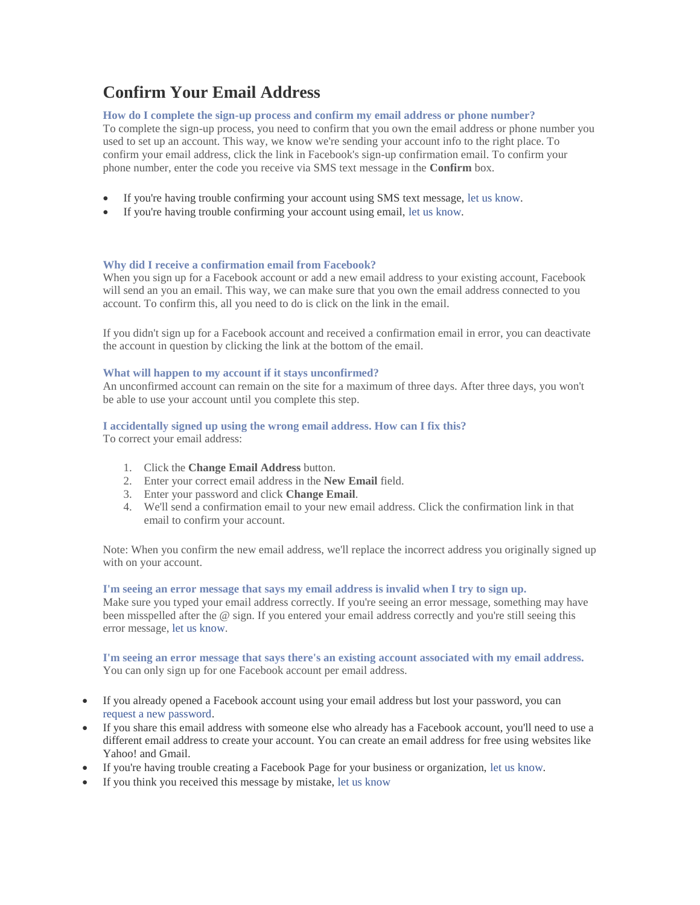## **Confirm Your Email Address**

#### **[How do I complete the sign-up process and confirm my email address or](https://www.facebook.com/help/223900927622502) phone number?**

To complete the sign-up process, you need to confirm that you own the email address or phone number you used to set up an account. This way, we know we're sending your account info to the right place. To confirm your email address, click the link in Facebook's sign-up confirmation email. To confirm your phone number, enter the code you receive via SMS text message in the **Confirm** box.

- If you're having trouble confirming your account using SMS text message, [let us know.](https://www.facebook.com/help/contact/338822979524831)
- If you're having trouble confirming your account using email, [let us know.](https://www.facebook.com/help/contact/174964429275926)

#### **[Why did I receive a confirmation email from Facebook?](https://www.facebook.com/help/174210495970197)**

When you sign up for a Facebook account or add a new email address to your existing account, Facebook will send an you an email. This way, we can make sure that you own the email address connected to you account. To confirm this, all you need to do is click on the link in the email.

If you didn't sign up for a Facebook account and received a confirmation email in error, you can deactivate the account in question by clicking the link at the bottom of the email.

#### **[What will happen to my account if it stays unconfirmed?](https://www.facebook.com/help/225196167506856)**

An unconfirmed account can remain on the site for a maximum of three days. After three days, you won't be able to use your account until you complete this step.

#### **[I accidentally signed up using the wrong email address. How can I fix this?](https://www.facebook.com/help/203116699730501)**

To correct your email address:

- 1. Click the **Change Email Address** button.
- 2. Enter your correct email address in the **New Email** field.
- 3. Enter your password and click **Change Email**.
- 4. We'll send a confirmation email to your new email address. Click the confirmation link in that email to confirm your account.

Note: When you confirm the new email address, we'll replace the incorrect address you originally signed up with on your account.

#### **[I'm seeing an error message that says my email address is invalid when I try to sign up.](https://www.facebook.com/help/121740551297216)**

Make sure you typed your email address correctly. If you're seeing an error message, something may have been misspelled after the @ sign. If you entered your email address correctly and you're still seeing this error message, [let us know.](https://www.facebook.com/help/contact/340846992655773)

**[I'm seeing an error message that says there's an existing account associated with my email address.](https://www.facebook.com/help/175050382551472)** You can only sign up for one Facebook account per email address.

- If you already opened a Facebook account using your email address but lost your password, you can [request a new password.](https://www.facebook.com/recover/initiate)
- If you share this email address with someone else who already has a Facebook account, you'll need to use a different email address to create your account. You can create an email address for free using websites like Yahoo! and Gmail.
- If you're having trouble creating a Facebook Page for your business or organization, [let us know.](https://www.facebook.com/help/contact/355708697832199)
- If you think you received this message by mistake, [let us know](https://www.facebook.com/help/contact/329543470461085)